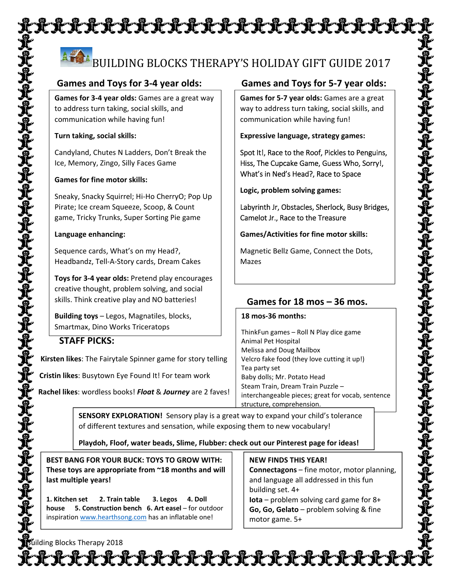# XXXXXXXXXXXXXXXXXXXXXX

# BUILDING BLOCKS THERAPY'S HOLIDAY GIFT GUIDE 2017

**Games for 3‐4 year olds:** Games are a great way to address turn taking, social skills, and communication while having fun!

### **Turn taking, social skills:**

Candyland, Chutes N Ladders, Don't Break the Ice, Memory, Zingo, Silly Faces Game

### **Games for fine motor skills:**

Sneaky, Snacky Squirrel; Hi‐Ho CherryO; Pop Up Pirate; Ice cream Squeeze, Scoop, & Count game, Tricky Trunks, Super Sorting Pie game

#### **Language enhancing:**

Sequence cards, What's on my Head?, Headbandz, Tell‐A‐Story cards, Dream Cakes

**Toys for 3‐4 year olds:** Pretend play encourages creative thought, problem solving, and social skills. Think creative play and NO batteries!

**Building toys** – Legos, Magnatiles, blocks, Smartmax, Dino Works Triceratops

## **STAFF PICKS:**

 **Kirsten likes**: The Fairytale Spinner game for story telling

**Cristin likes**: Busytown Eye Found It! For team work

 **Rachel likes**: wordless books! *Float* & *Journey* are 2 faves!

**Games for 5‐7 year olds:** Games are a great way to address turn taking, social skills, and communication while having fun!

**Expressive language, strategy games:** 

Spot It!, Race to the Roof, Pickles to Penguins, Hiss, The Cupcake Game, Guess Who, Sorry!, What's in Ned's Head?, Race to Space

**Logic, problem solving games:** 

Labyrinth Jr, Obstacles, Sherlock, Busy Bridges, Camelot Jr., Race to the Treasure

**Games/Activities for fine motor skills:** 

Magnetic Bellz Game, Connect the Dots, Mazes

## **Games for 18 mos – 36 mos.**

#### **18 mos‐36 months:**

ThinkFun games – Roll N Play dice game Animal Pet Hospital Melissa and Doug Mailbox Velcro fake food (they love cutting it up!) Tea party set Baby dolls; Mr. Potato Head Steam Train, Dream Train Puzzle – interchangeable pieces; great for vocab, sentence structure, comprehension.

**SENSORY EXPLORATION!** Sensory play is a great way to expand your child's tolerance of different textures and sensation, while exposing them to new vocabulary!

**Playdoh, Floof, water beads, Slime, Flubber: check out our Pinterest page for ideas!** 

**BEST BANG FOR YOUR BUCK: TOYS TO GROW WITH: These toys are appropriate from ~18 months and will last multiple years!** 

**1. Kitchen set 2. Train table 3. Legos 4. Doll house 5. Construction bench 6. Art easel** – for outdoor inspiration www.hearthsong.com has an inflatable one!

### **NEW FINDS THIS YEAR!**

**Connectagons** – fine motor, motor planning, and language all addressed in this fun building set. 4+ **Iota** – problem solving card game for 8+ **Go, Go, Gelato** – problem solving & fine motor game. 5+

fuilding Blocks Therapy 2018